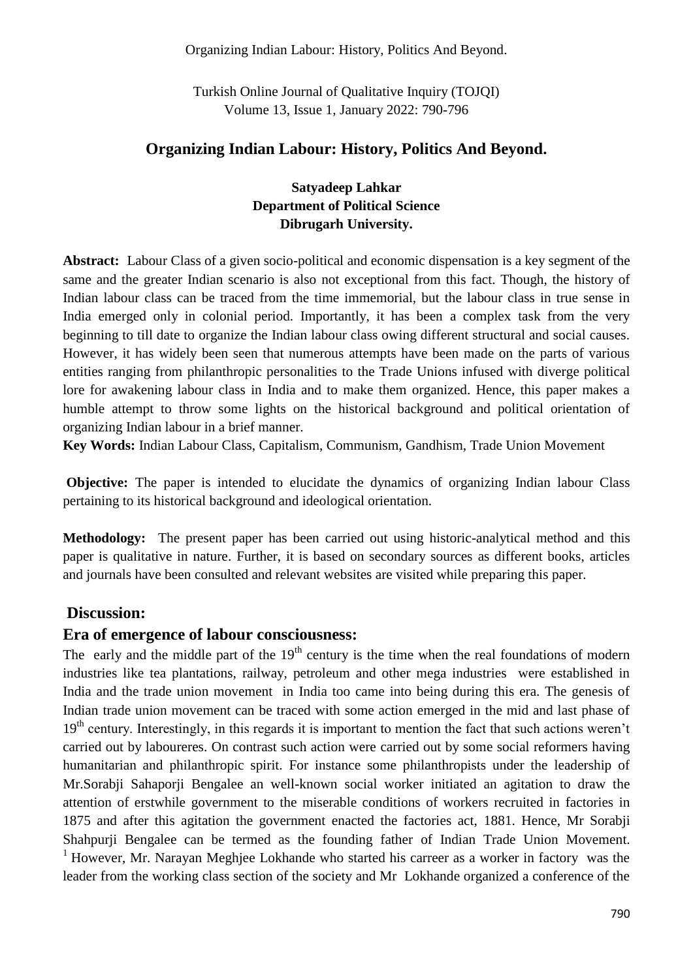#### Organizing Indian Labour: History, Politics And Beyond.

Turkish Online Journal of Qualitative Inquiry (TOJQI) Volume 13, Issue 1, January 2022: 790-796

#### **Organizing Indian Labour: History, Politics And Beyond.**

### **Satyadeep Lahkar Department of Political Science Dibrugarh University.**

**Abstract:** Labour Class of a given socio-political and economic dispensation is a key segment of the same and the greater Indian scenario is also not exceptional from this fact. Though, the history of Indian labour class can be traced from the time immemorial, but the labour class in true sense in India emerged only in colonial period. Importantly, it has been a complex task from the very beginning to till date to organize the Indian labour class owing different structural and social causes. However, it has widely been seen that numerous attempts have been made on the parts of various entities ranging from philanthropic personalities to the Trade Unions infused with diverge political lore for awakening labour class in India and to make them organized. Hence, this paper makes a humble attempt to throw some lights on the historical background and political orientation of organizing Indian labour in a brief manner.

**Key Words:** Indian Labour Class, Capitalism, Communism, Gandhism, Trade Union Movement

**Objective:** The paper is intended to elucidate the dynamics of organizing Indian labour Class pertaining to its historical background and ideological orientation.

**Methodology:** The present paper has been carried out using historic-analytical method and this paper is qualitative in nature. Further, it is based on secondary sources as different books, articles and journals have been consulted and relevant websites are visited while preparing this paper.

#### **Discussion:**

#### **Era of emergence of labour consciousness:**

The early and the middle part of the  $19<sup>th</sup>$  century is the time when the real foundations of modern industries like tea plantations, railway, petroleum and other mega industries were established in India and the trade union movement in India too came into being during this era. The genesis of Indian trade union movement can be traced with some action emerged in the mid and last phase of  $19<sup>th</sup>$  century. Interestingly, in this regards it is important to mention the fact that such actions weren't carried out by laboureres. On contrast such action were carried out by some social reformers having humanitarian and philanthropic spirit. For instance some philanthropists under the leadership of Mr.Sorabji Sahaporji Bengalee an well-known social worker initiated an agitation to draw the attention of erstwhile government to the miserable conditions of workers recruited in factories in 1875 and after this agitation the government enacted the factories act, 1881. Hence, Mr Sorabji Shahpurji Bengalee can be termed as the founding father of Indian Trade Union Movement. <sup>1</sup> However, Mr. Narayan Meghjee Lokhande who started his carreer as a worker in factory was the leader from the working class section of the society and Mr Lokhande organized a conference of the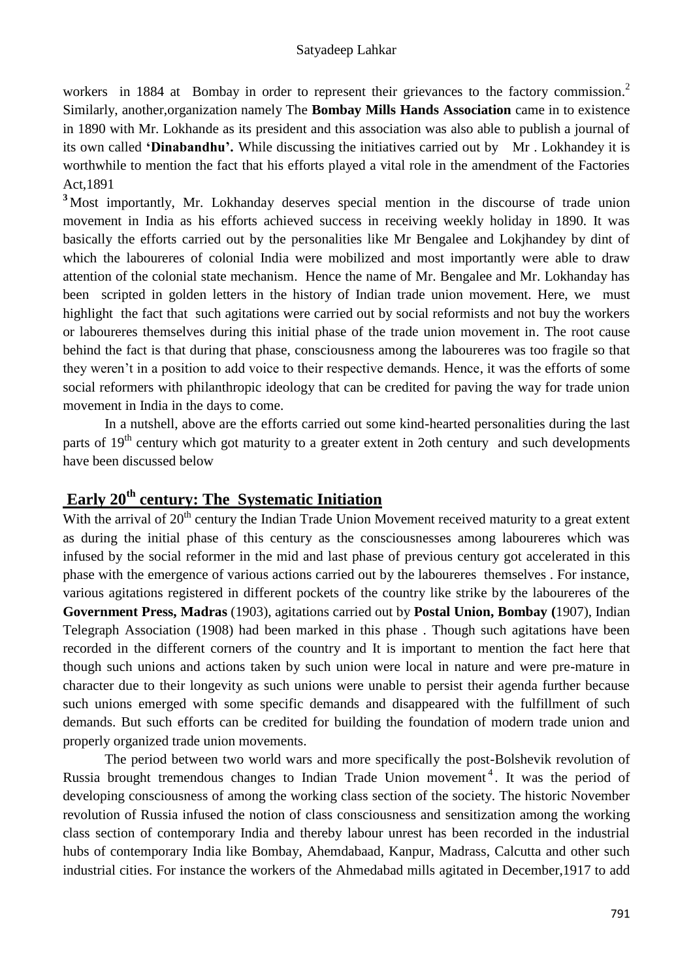workers in 1884 at Bombay in order to represent their grievances to the factory commission.<sup>2</sup> Similarly, another,organization namely The **Bombay Mills Hands Association** came in to existence in 1890 with Mr. Lokhande as its president and this association was also able to publish a journal of its own called **'Dinabandhu'.** While discussing the initiatives carried out byMr . Lokhandey it is worthwhile to mention the fact that his efforts played a vital role in the amendment of the Factories Act,1891

**<sup>3</sup>** Most importantly, Mr. Lokhanday deserves special mention in the discourse of trade union movement in India as his efforts achieved success in receiving weekly holiday in 1890. It was basically the efforts carried out by the personalities like Mr Bengalee and Lokjhandey by dint of which the laboureres of colonial India were mobilized and most importantly were able to draw attention of the colonial state mechanism. Hence the name of Mr. Bengalee and Mr. Lokhanday has been scripted in golden letters in the history of Indian trade union movement. Here, we must highlight the fact that such agitations were carried out by social reformists and not buy the workers or laboureres themselves during this initial phase of the trade union movement in. The root cause behind the fact is that during that phase, consciousness among the laboureres was too fragile so that they weren"t in a position to add voice to their respective demands. Hence, it was the efforts of some social reformers with philanthropic ideology that can be credited for paving the way for trade union movement in India in the days to come.

In a nutshell, above are the efforts carried out some kind-hearted personalities during the last parts of  $19<sup>th</sup>$  century which got maturity to a greater extent in 2oth century and such developments have been discussed below

# **Early 20th century: The Systematic Initiation**

With the arrival of 20<sup>th</sup> century the Indian Trade Union Movement received maturity to a great extent as during the initial phase of this century as the consciousnesses among laboureres which was infused by the social reformer in the mid and last phase of previous century got accelerated in this phase with the emergence of various actions carried out by the laboureres themselves . For instance, various agitations registered in different pockets of the country like strike by the laboureres of the **Government Press, Madras** (1903), agitations carried out by **Postal Union, Bombay (**1907), Indian Telegraph Association (1908) had been marked in this phase . Though such agitations have been recorded in the different corners of the country and It is important to mention the fact here that though such unions and actions taken by such union were local in nature and were pre-mature in character due to their longevity as such unions were unable to persist their agenda further because such unions emerged with some specific demands and disappeared with the fulfillment of such demands. But such efforts can be credited for building the foundation of modern trade union and properly organized trade union movements.

The period between two world wars and more specifically the post-Bolshevik revolution of Russia brought tremendous changes to Indian Trade Union movement<sup>4</sup>. It was the period of developing consciousness of among the working class section of the society. The historic November revolution of Russia infused the notion of class consciousness and sensitization among the working class section of contemporary India and thereby labour unrest has been recorded in the industrial hubs of contemporary India like Bombay, Ahemdabaad, Kanpur, Madrass, Calcutta and other such industrial cities. For instance the workers of the Ahmedabad mills agitated in December,1917 to add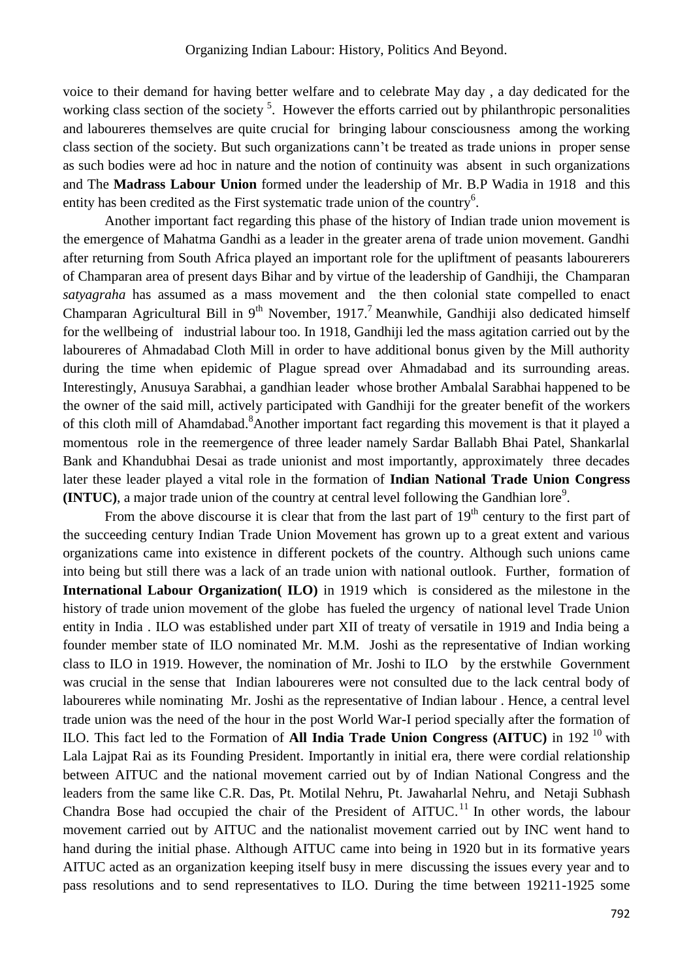voice to their demand for having better welfare and to celebrate May day , a day dedicated for the working class section of the society<sup>5</sup>. However the efforts carried out by philanthropic personalities and laboureres themselves are quite crucial for bringing labour consciousness among the working class section of the society. But such organizations cann"t be treated as trade unions in proper sense as such bodies were ad hoc in nature and the notion of continuity was absent in such organizations and The **Madrass Labour Union** formed under the leadership of Mr. B.P Wadia in 1918 and this entity has been credited as the First systematic trade union of the country<sup>6</sup>.

Another important fact regarding this phase of the history of Indian trade union movement is the emergence of Mahatma Gandhi as a leader in the greater arena of trade union movement. Gandhi after returning from South Africa played an important role for the upliftment of peasants labourerers of Champaran area of present days Bihar and by virtue of the leadership of Gandhiji, the Champaran *satyagraha* has assumed as a mass movement and the then colonial state compelled to enact Champaran Agricultural Bill in  $9<sup>th</sup>$  November, 1917.<sup>7</sup> Meanwhile, Gandhiji also dedicated himself for the wellbeing of industrial labour too. In 1918, Gandhiji led the mass agitation carried out by the laboureres of Ahmadabad Cloth Mill in order to have additional bonus given by the Mill authority during the time when epidemic of Plague spread over Ahmadabad and its surrounding areas. Interestingly, Anusuya Sarabhai, a gandhian leader whose brother Ambalal Sarabhai happened to be the owner of the said mill, actively participated with Gandhiji for the greater benefit of the workers of this cloth mill of Ahamdabad.<sup>8</sup> Another important fact regarding this movement is that it played a momentous role in the reemergence of three leader namely Sardar Ballabh Bhai Patel, Shankarlal Bank and Khandubhai Desai as trade unionist and most importantly, approximately three decades later these leader played a vital role in the formation of **Indian National Trade Union Congress**   $(INTUC)$ , a major trade union of the country at central level following the Gandhian lore<sup>9</sup>.

From the above discourse it is clear that from the last part of  $19<sup>th</sup>$  century to the first part of the succeeding century Indian Trade Union Movement has grown up to a great extent and various organizations came into existence in different pockets of the country. Although such unions came into being but still there was a lack of an trade union with national outlook. Further, formation of **International Labour Organization( ILO)** in 1919 which is considered as the milestone in the history of trade union movement of the globe has fueled the urgency of national level Trade Union entity in India . ILO was established under part XII of treaty of versatile in 1919 and India being a founder member state of ILO nominated Mr. M.M. Joshi as the representative of Indian working class to ILO in 1919. However, the nomination of Mr. Joshi to ILO by the erstwhile Government was crucial in the sense that Indian laboureres were not consulted due to the lack central body of laboureres while nominating Mr. Joshi as the representative of Indian labour . Hence, a central level trade union was the need of the hour in the post World War-I period specially after the formation of ILO. This fact led to the Formation of **All India Trade Union Congress (AITUC)** in 192 <sup>10</sup> with Lala Lajpat Rai as its Founding President. Importantly in initial era, there were cordial relationship between AITUC and the national movement carried out by of Indian National Congress and the leaders from the same like C.R. Das, Pt. Motilal Nehru, Pt. Jawaharlal Nehru, and Netaji Subhash Chandra Bose had occupied the chair of the President of  $AITUC$ .<sup>11</sup> In other words, the labour movement carried out by AITUC and the nationalist movement carried out by INC went hand to hand during the initial phase. Although AITUC came into being in 1920 but in its formative years AITUC acted as an organization keeping itself busy in mere discussing the issues every year and to pass resolutions and to send representatives to ILO. During the time between 19211-1925 some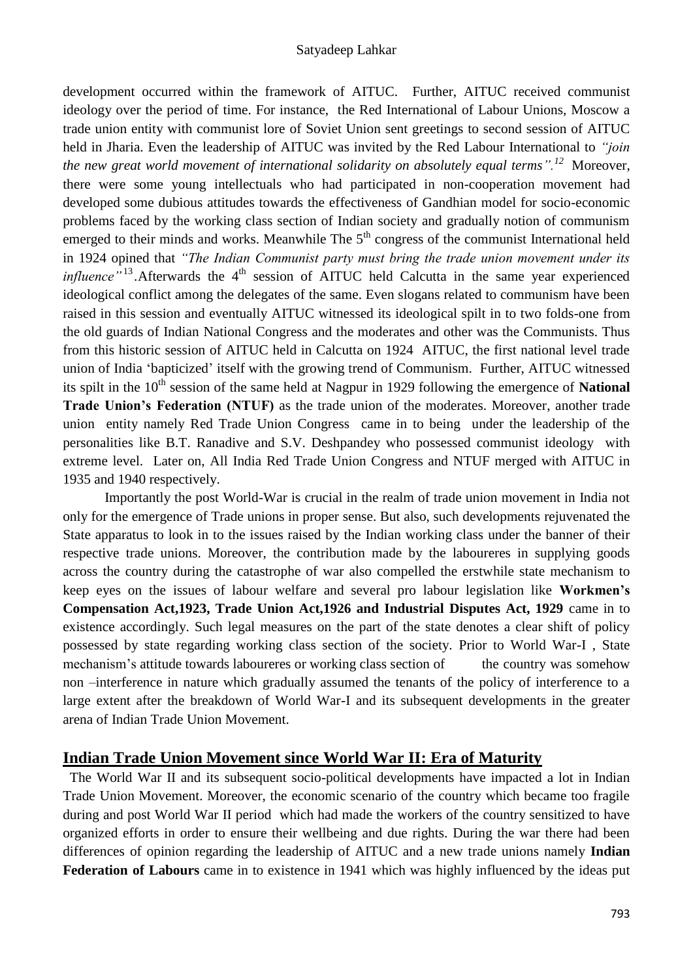development occurred within the framework of AITUC. Further, AITUC received communist ideology over the period of time. For instance, the Red International of Labour Unions, Moscow a trade union entity with communist lore of Soviet Union sent greetings to second session of AITUC held in Jharia. Even the leadership of AITUC was invited by the Red Labour International to *"join the new great world movement of international solidarity on absolutely equal terms".<sup>12</sup>* Moreover, there were some young intellectuals who had participated in non-cooperation movement had developed some dubious attitudes towards the effectiveness of Gandhian model for socio-economic problems faced by the working class section of Indian society and gradually notion of communism emerged to their minds and works. Meanwhile The  $5<sup>th</sup>$  congress of the communist International held in 1924 opined that *"The Indian Communist party must bring the trade union movement under its influence*<sup>"13</sup>.Afterwards the 4<sup>th</sup> session of AITUC held Calcutta in the same year experienced ideological conflict among the delegates of the same. Even slogans related to communism have been raised in this session and eventually AITUC witnessed its ideological spilt in to two folds-one from the old guards of Indian National Congress and the moderates and other was the Communists. Thus from this historic session of AITUC held in Calcutta on 1924 AITUC, the first national level trade union of India "bapticized" itself with the growing trend of Communism. Further, AITUC witnessed its spilt in the 10<sup>th</sup> session of the same held at Nagpur in 1929 following the emergence of **National Trade Union's Federation (NTUF)** as the trade union of the moderates. Moreover, another trade union entity namely Red Trade Union Congress came in to being under the leadership of the personalities like B.T. Ranadive and S.V. Deshpandey who possessed communist ideology with extreme level. Later on, All India Red Trade Union Congress and NTUF merged with AITUC in 1935 and 1940 respectively.

Importantly the post World-War is crucial in the realm of trade union movement in India not only for the emergence of Trade unions in proper sense. But also, such developments rejuvenated the State apparatus to look in to the issues raised by the Indian working class under the banner of their respective trade unions. Moreover, the contribution made by the laboureres in supplying goods across the country during the catastrophe of war also compelled the erstwhile state mechanism to keep eyes on the issues of labour welfare and several pro labour legislation like **Workmen's Compensation Act,1923, Trade Union Act,1926 and Industrial Disputes Act, 1929** came in to existence accordingly. Such legal measures on the part of the state denotes a clear shift of policy possessed by state regarding working class section of the society. Prior to World War-I , State mechanism's attitude towards laboureres or working class section of the country was somehow non –interference in nature which gradually assumed the tenants of the policy of interference to a large extent after the breakdown of World War-I and its subsequent developments in the greater arena of Indian Trade Union Movement.

#### **Indian Trade Union Movement since World War II: Era of Maturity**

 The World War II and its subsequent socio-political developments have impacted a lot in Indian Trade Union Movement. Moreover, the economic scenario of the country which became too fragile during and post World War II period which had made the workers of the country sensitized to have organized efforts in order to ensure their wellbeing and due rights. During the war there had been differences of opinion regarding the leadership of AITUC and a new trade unions namely **Indian Federation of Labours** came in to existence in 1941 which was highly influenced by the ideas put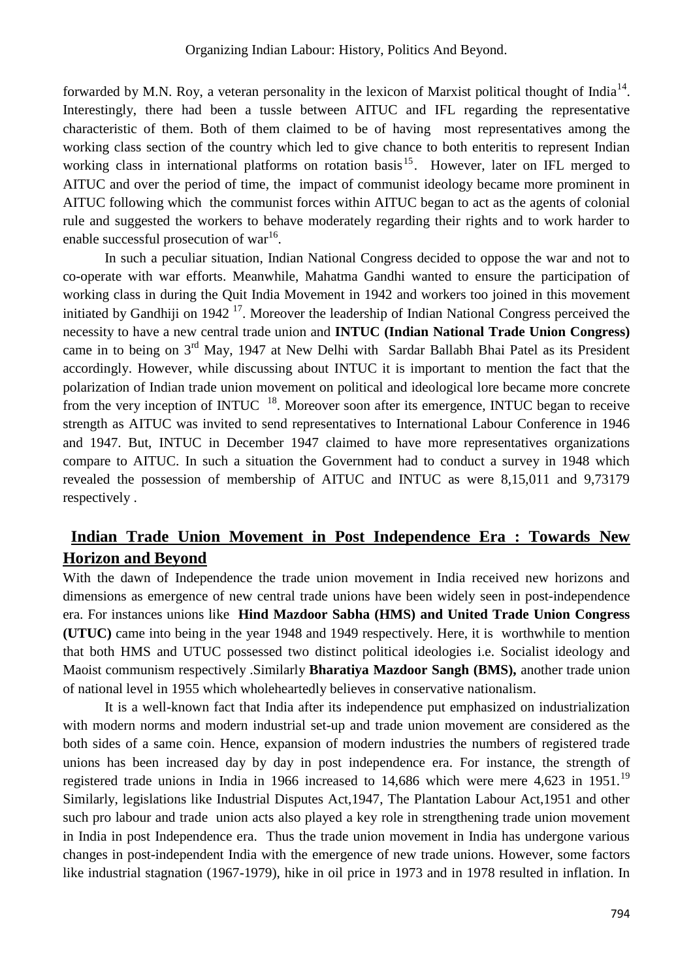forwarded by M.N. Roy, a veteran personality in the lexicon of Marxist political thought of India<sup>14</sup>. Interestingly, there had been a tussle between AITUC and IFL regarding the representative characteristic of them. Both of them claimed to be of having most representatives among the working class section of the country which led to give chance to both enteritis to represent Indian working class in international platforms on rotation basis<sup>15</sup>. However, later on IFL merged to AITUC and over the period of time, the impact of communist ideology became more prominent in AITUC following which the communist forces within AITUC began to act as the agents of colonial rule and suggested the workers to behave moderately regarding their rights and to work harder to enable successful prosecution of war<sup>16</sup>.

In such a peculiar situation, Indian National Congress decided to oppose the war and not to co-operate with war efforts. Meanwhile, Mahatma Gandhi wanted to ensure the participation of working class in during the Quit India Movement in 1942 and workers too joined in this movement initiated by Gandhiji on  $1942$ <sup>17</sup>. Moreover the leadership of Indian National Congress perceived the necessity to have a new central trade union and **INTUC (Indian National Trade Union Congress)** came in to being on 3<sup>rd</sup> May, 1947 at New Delhi with Sardar Ballabh Bhai Patel as its President accordingly. However, while discussing about INTUC it is important to mention the fact that the polarization of Indian trade union movement on political and ideological lore became more concrete from the very inception of INTUC <sup>18</sup>. Moreover soon after its emergence, INTUC began to receive strength as AITUC was invited to send representatives to International Labour Conference in 1946 and 1947. But, INTUC in December 1947 claimed to have more representatives organizations compare to AITUC. In such a situation the Government had to conduct a survey in 1948 which revealed the possession of membership of AITUC and INTUC as were 8,15,011 and 9,73179 respectively .

## **Indian Trade Union Movement in Post Independence Era : Towards New Horizon and Beyond**

With the dawn of Independence the trade union movement in India received new horizons and dimensions as emergence of new central trade unions have been widely seen in post-independence era. For instances unions like **Hind Mazdoor Sabha (HMS) and United Trade Union Congress (UTUC)** came into being in the year 1948 and 1949 respectively. Here, it is worthwhile to mention that both HMS and UTUC possessed two distinct political ideologies i.e. Socialist ideology and Maoist communism respectively .Similarly **Bharatiya Mazdoor Sangh (BMS),** another trade union of national level in 1955 which wholeheartedly believes in conservative nationalism.

It is a well-known fact that India after its independence put emphasized on industrialization with modern norms and modern industrial set-up and trade union movement are considered as the both sides of a same coin. Hence, expansion of modern industries the numbers of registered trade unions has been increased day by day in post independence era. For instance, the strength of registered trade unions in India in 1966 increased to 14,686 which were mere 4,623 in 1951.<sup>19</sup> Similarly, legislations like Industrial Disputes Act,1947, The Plantation Labour Act,1951 and other such pro labour and trade union acts also played a key role in strengthening trade union movement in India in post Independence era. Thus the trade union movement in India has undergone various changes in post-independent India with the emergence of new trade unions. However, some factors like industrial stagnation (1967-1979), hike in oil price in 1973 and in 1978 resulted in inflation. In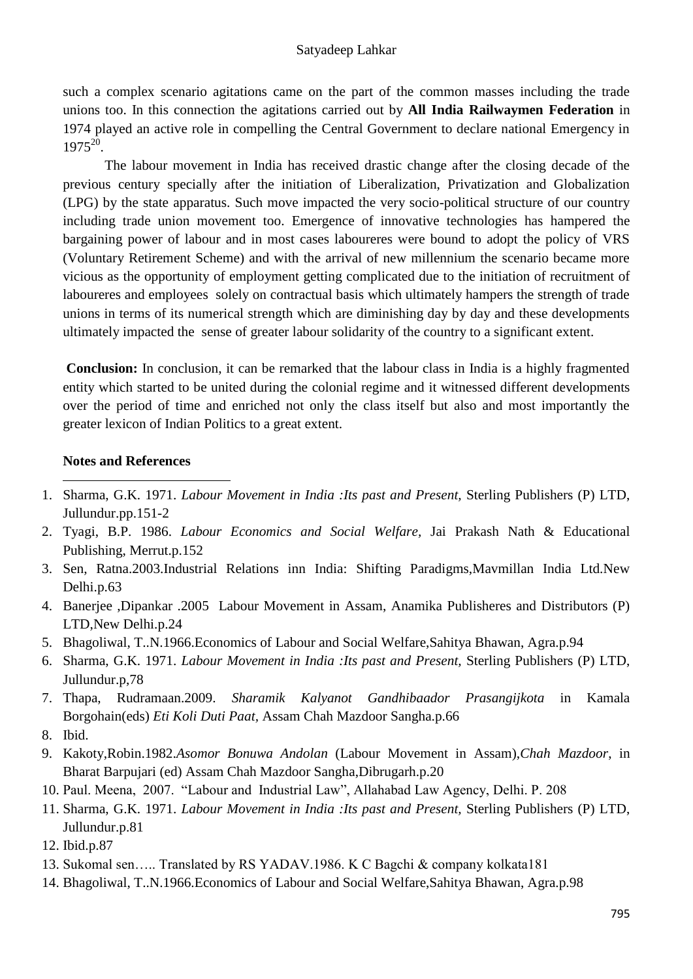such a complex scenario agitations came on the part of the common masses including the trade unions too. In this connection the agitations carried out by **All India Railwaymen Federation** in 1974 played an active role in compelling the Central Government to declare national Emergency in  $1975^{20}$ .

The labour movement in India has received drastic change after the closing decade of the previous century specially after the initiation of Liberalization, Privatization and Globalization (LPG) by the state apparatus. Such move impacted the very socio-political structure of our country including trade union movement too. Emergence of innovative technologies has hampered the bargaining power of labour and in most cases laboureres were bound to adopt the policy of VRS (Voluntary Retirement Scheme) and with the arrival of new millennium the scenario became more vicious as the opportunity of employment getting complicated due to the initiation of recruitment of laboureres and employees solely on contractual basis which ultimately hampers the strength of trade unions in terms of its numerical strength which are diminishing day by day and these developments ultimately impacted the sense of greater labour solidarity of the country to a significant extent.

**Conclusion:** In conclusion, it can be remarked that the labour class in India is a highly fragmented entity which started to be united during the colonial regime and it witnessed different developments over the period of time and enriched not only the class itself but also and most importantly the greater lexicon of Indian Politics to a great extent.

#### **Notes and References**

- 1 1. Sharma, G.K. 1971. *Labour Movement in India :Its past and Present,* Sterling Publishers (P) LTD, Jullundur.pp.151-2
- 2. Tyagi, B.P. 1986. *Labour Economics and Social Welfare,* Jai Prakash Nath & Educational Publishing, Merrut.p.152
- 3. Sen, Ratna.2003.Industrial Relations inn India: Shifting Paradigms,Mavmillan India Ltd.New Delhi.p.63
- 4. Banerjee ,Dipankar .2005 Labour Movement in Assam, Anamika Publisheres and Distributors (P) LTD,New Delhi.p.24
- 5. Bhagoliwal, T..N.1966.Economics of Labour and Social Welfare,Sahitya Bhawan, Agra.p.94
- 6. Sharma, G.K. 1971. *Labour Movement in India :Its past and Present,* Sterling Publishers (P) LTD, Jullundur.p,78
- 7. Thapa, Rudramaan.2009. *Sharamik Kalyanot Gandhibaador Prasangijkota* in Kamala Borgohain(eds) *Eti Koli Duti Paat,* Assam Chah Mazdoor Sangha.p.66
- 8. Ibid.
- 9. Kakoty,Robin.1982.*Asomor Bonuwa Andolan* (Labour Movement in Assam),*Chah Mazdoor*, in Bharat Barpujari (ed) Assam Chah Mazdoor Sangha,Dibrugarh.p.20
- 10. Paul. Meena, 2007. "Labour and Industrial Law", Allahabad Law Agency, Delhi. P. 208
- 11. Sharma, G.K. 1971. *Labour Movement in India :Its past and Present,* Sterling Publishers (P) LTD, Jullundur.p.81
- 12. Ibid.p.87
- 13. Sukomal sen….. Translated by RS YADAV.1986. K C Bagchi & company kolkata181
- 14. Bhagoliwal, T..N.1966.Economics of Labour and Social Welfare,Sahitya Bhawan, Agra.p.98